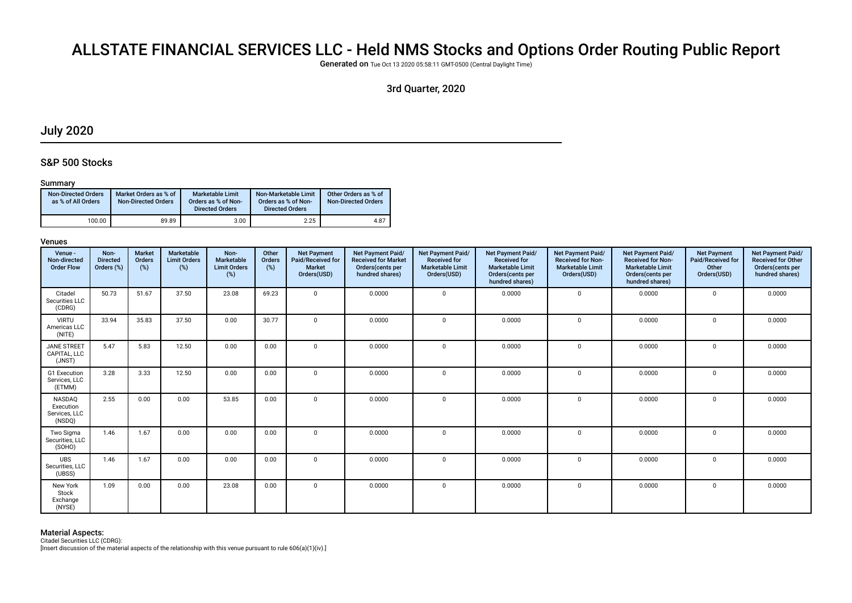# ALLSTATE FINANCIAL SERVICES LLC - Held NMS Stocks and Options Order Routing Public Report

Generated on Tue Oct 13 2020 05:58:11 GMT-0500 (Central Daylight Time)

# 3rd Quarter, 2020

# July 2020

### S&P 500 Stocks

#### Summary

| <b>Non-Directed Orders</b><br>as % of All Orders | Market Orders as % of<br><b>Non-Directed Orders</b> | Marketable Limit<br>Orders as % of Non-<br><b>Directed Orders</b> | Non-Marketable Limit<br>Orders as % of Non-<br><b>Directed Orders</b> | Other Orders as % of<br><b>Non-Directed Orders</b> |
|--------------------------------------------------|-----------------------------------------------------|-------------------------------------------------------------------|-----------------------------------------------------------------------|----------------------------------------------------|
| 100.00                                           | 89.89                                               | 3.00                                                              | 2.25                                                                  | 4.87                                               |

#### Venues

| Venue -<br>Non-directed<br><b>Order Flow</b>   | Non-<br><b>Directed</b><br>Orders (%) | <b>Market</b><br>Orders<br>(%) | Marketable<br><b>Limit Orders</b><br>(%) | Non-<br>Marketable<br><b>Limit Orders</b><br>(%) | Other<br>Orders<br>(%) | <b>Net Payment</b><br>Paid/Received for<br><b>Market</b><br>Orders(USD) | Net Payment Paid/<br><b>Received for Market</b><br>Orders(cents per<br>hundred shares) | Net Payment Paid/<br><b>Received for</b><br><b>Marketable Limit</b><br>Orders(USD) | Net Payment Paid/<br><b>Received for</b><br><b>Marketable Limit</b><br>Orders(cents per<br>hundred shares) | <b>Net Payment Paid/</b><br><b>Received for Non-</b><br><b>Marketable Limit</b><br>Orders(USD) | Net Payment Paid/<br><b>Received for Non-</b><br><b>Marketable Limit</b><br>Orders(cents per<br>hundred shares) | <b>Net Payment</b><br>Paid/Received for<br>Other<br>Orders(USD) | Net Payment Paid/<br><b>Received for Other</b><br>Orders(cents per<br>hundred shares) |
|------------------------------------------------|---------------------------------------|--------------------------------|------------------------------------------|--------------------------------------------------|------------------------|-------------------------------------------------------------------------|----------------------------------------------------------------------------------------|------------------------------------------------------------------------------------|------------------------------------------------------------------------------------------------------------|------------------------------------------------------------------------------------------------|-----------------------------------------------------------------------------------------------------------------|-----------------------------------------------------------------|---------------------------------------------------------------------------------------|
| Citadel<br>Securities LLC<br>(CDRG)            | 50.73                                 | 51.67                          | 37.50                                    | 23.08                                            | 69.23                  | 0                                                                       | 0.0000                                                                                 | $\Omega$                                                                           | 0.0000                                                                                                     | $\mathbf{0}$                                                                                   | 0.0000                                                                                                          | $\mathbf 0$                                                     | 0.0000                                                                                |
| <b>VIRTU</b><br>Americas LLC<br>(NITE)         | 33.94                                 | 35.83                          | 37.50                                    | 0.00                                             | 30.77                  | 0                                                                       | 0.0000                                                                                 | $\Omega$                                                                           | 0.0000                                                                                                     | $\Omega$                                                                                       | 0.0000                                                                                                          | $\Omega$                                                        | 0.0000                                                                                |
| <b>JANE STREET</b><br>CAPITAL. LLC<br>(JNST)   | 5.47                                  | 5.83                           | 12.50                                    | 0.00                                             | 0.00                   | $\mathbf 0$                                                             | 0.0000                                                                                 | $\Omega$                                                                           | 0.0000                                                                                                     | $\mathbf{0}$                                                                                   | 0.0000                                                                                                          | $\mathbf 0$                                                     | 0.0000                                                                                |
| G1 Execution<br>Services, LLC<br>(ETMM)        | 3.28                                  | 3.33                           | 12.50                                    | 0.00                                             | 0.00                   | $\mathbf 0$                                                             | 0.0000                                                                                 | $\Omega$                                                                           | 0.0000                                                                                                     | $\mathbf 0$                                                                                    | 0.0000                                                                                                          | $\mathbf 0$                                                     | 0.0000                                                                                |
| NASDAQ<br>Execution<br>Services, LLC<br>(NSDQ) | 2.55                                  | 0.00                           | 0.00                                     | 53.85                                            | 0.00                   | $\mathbf 0$                                                             | 0.0000                                                                                 | <sup>0</sup>                                                                       | 0.0000                                                                                                     | $\mathbf{0}$                                                                                   | 0.0000                                                                                                          | $\mathbf 0$                                                     | 0.0000                                                                                |
| Two Sigma<br>Securities, LLC<br>(SOHO)         | 1.46                                  | 1.67                           | 0.00                                     | 0.00                                             | 0.00                   | 0                                                                       | 0.0000                                                                                 | $\Omega$                                                                           | 0.0000                                                                                                     | $\Omega$                                                                                       | 0.0000                                                                                                          | $\mathbf 0$                                                     | 0.0000                                                                                |
| <b>UBS</b><br>Securities, LLC<br>(UBSS)        | 1.46                                  | 1.67                           | 0.00                                     | 0.00                                             | 0.00                   | $\mathbf 0$                                                             | 0.0000                                                                                 | $\Omega$                                                                           | 0.0000                                                                                                     | $\Omega$                                                                                       | 0.0000                                                                                                          | $\mathbf 0$                                                     | 0.0000                                                                                |
| New York<br>Stock<br>Exchange<br>(NYSE)        | 1.09                                  | 0.00                           | 0.00                                     | 23.08                                            | 0.00                   | 0                                                                       | 0.0000                                                                                 | $\mathbf 0$                                                                        | 0.0000                                                                                                     | $\mathbf{0}$                                                                                   | 0.0000                                                                                                          | $^{\circ}$                                                      | 0.0000                                                                                |

#### Material Aspects:

Citadel Securities LLC (CDRG):

[Insert discussion of the material aspects of the relationship with this venue pursuant to rule 606(a)(1)(iv).]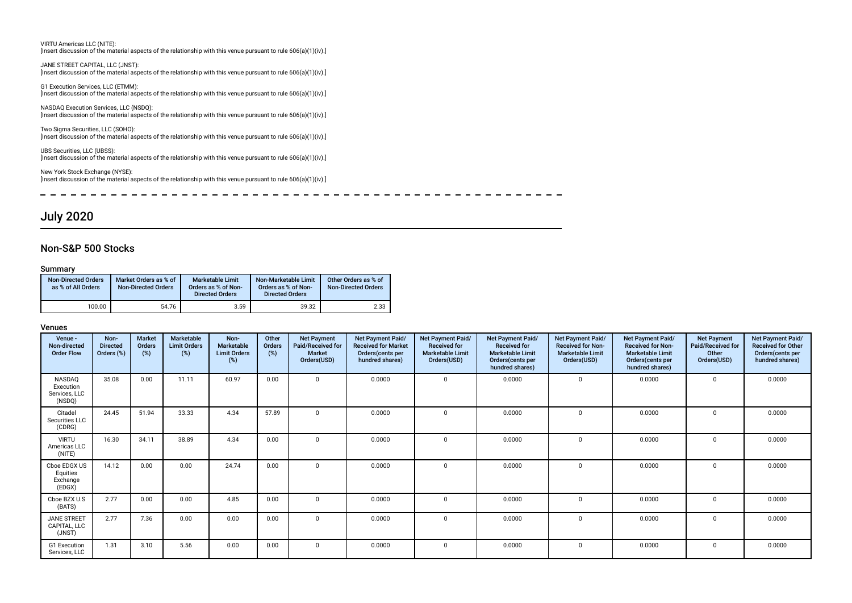VIRTU Americas LLC (NITE): [Insert discussion of the material aspects of the relationship with this venue pursuant to rule 606(a)(1)(iv).]

JANE STREET CAPITAL, LLC (JNST): [Insert discussion of the material aspects of the relationship with this venue pursuant to rule 606(a)(1)(iv).]

G1 Execution Services, LLC (ETMM): [Insert discussion of the material aspects of the relationship with this venue pursuant to rule 606(a)(1)(iv).]

NASDAQ Execution Services, LLC (NSDQ): [Insert discussion of the material aspects of the relationship with this venue pursuant to rule 606(a)(1)(iv).]

Two Sigma Securities, LLC (SOHO): [Insert discussion of the material aspects of the relationship with this venue pursuant to rule 606(a)(1)(iv).]

UBS Securities, LLC (UBSS): [Insert discussion of the material aspects of the relationship with this venue pursuant to rule 606(a)(1)(iv).]

New York Stock Exchange (NYSE): [Insert discussion of the material aspects of the relationship with this venue pursuant to rule 606(a)(1)(iv).]

--------- $-$ 

# July 2020

#### Non-S&P 500 Stocks

#### Summary

| <b>Non-Directed Orders</b><br>as % of All Orders | Market Orders as % of<br><b>Non-Directed Orders</b> | Marketable Limit<br>Orders as % of Non-<br><b>Directed Orders</b> | Non-Marketable Limit<br>Orders as % of Non-<br><b>Directed Orders</b> | Other Orders as % of<br><b>Non-Directed Orders</b> |
|--------------------------------------------------|-----------------------------------------------------|-------------------------------------------------------------------|-----------------------------------------------------------------------|----------------------------------------------------|
| 100.00                                           | 54.76                                               | 3.59                                                              | 39.32                                                                 | 2.33                                               |

| Venue -<br>Non-directed<br><b>Order Flow</b>   | Non-<br><b>Directed</b><br>Orders (%) | <b>Market</b><br>Orders<br>(%) | Marketable<br><b>Limit Orders</b><br>(%) | Non-<br>Marketable<br><b>Limit Orders</b><br>(%) | Other<br>Orders<br>(%) | <b>Net Payment</b><br>Paid/Received for<br><b>Market</b><br>Orders(USD) | Net Payment Paid/<br><b>Received for Market</b><br>Orders (cents per<br>hundred shares) | Net Payment Paid/<br><b>Received for</b><br><b>Marketable Limit</b><br>Orders(USD) | <b>Net Payment Paid/</b><br><b>Received for</b><br><b>Marketable Limit</b><br>Orders (cents per<br>hundred shares) | <b>Net Payment Paid/</b><br><b>Received for Non-</b><br><b>Marketable Limit</b><br>Orders(USD) | Net Payment Paid/<br><b>Received for Non-</b><br><b>Marketable Limit</b><br>Orders(cents per<br>hundred shares) | <b>Net Payment</b><br>Paid/Received for<br>Other<br>Orders(USD) | Net Payment Paid/<br><b>Received for Other</b><br>Orders(cents per<br>hundred shares) |
|------------------------------------------------|---------------------------------------|--------------------------------|------------------------------------------|--------------------------------------------------|------------------------|-------------------------------------------------------------------------|-----------------------------------------------------------------------------------------|------------------------------------------------------------------------------------|--------------------------------------------------------------------------------------------------------------------|------------------------------------------------------------------------------------------------|-----------------------------------------------------------------------------------------------------------------|-----------------------------------------------------------------|---------------------------------------------------------------------------------------|
| NASDAQ<br>Execution<br>Services, LLC<br>(NSDQ) | 35.08                                 | 0.00                           | 11.11                                    | 60.97                                            | 0.00                   | $\Omega$                                                                | 0.0000                                                                                  | $\Omega$                                                                           | 0.0000                                                                                                             | $\Omega$                                                                                       | 0.0000                                                                                                          |                                                                 | 0.0000                                                                                |
| Citadel<br>Securities LLC<br>(CDRG)            | 24.45                                 | 51.94                          | 33.33                                    | 4.34                                             | 57.89                  | $\Omega$                                                                | 0.0000                                                                                  | $\Omega$                                                                           | 0.0000                                                                                                             | $\Omega$                                                                                       | 0.0000                                                                                                          | $\Omega$                                                        | 0.0000                                                                                |
| <b>VIRTU</b><br>Americas LLC<br>(NITE)         | 16.30                                 | 34.11                          | 38.89                                    | 4.34                                             | 0.00                   | $\Omega$                                                                | 0.0000                                                                                  | $\Omega$                                                                           | 0.0000                                                                                                             | $\Omega$                                                                                       | 0.0000                                                                                                          |                                                                 | 0.0000                                                                                |
| Cboe EDGX US<br>Equities<br>Exchange<br>(EDGX) | 14.12                                 | 0.00                           | 0.00                                     | 24.74                                            | 0.00                   | $\Omega$                                                                | 0.0000                                                                                  | $\Omega$                                                                           | 0.0000                                                                                                             | $\mathbf 0$                                                                                    | 0.0000                                                                                                          |                                                                 | 0.0000                                                                                |
| Cboe BZX U.S<br>(BATS)                         | 2.77                                  | 0.00                           | 0.00                                     | 4.85                                             | 0.00                   | $\Omega$                                                                | 0.0000                                                                                  | $\Omega$                                                                           | 0.0000                                                                                                             | $\Omega$                                                                                       | 0.0000                                                                                                          |                                                                 | 0.0000                                                                                |
| <b>JANE STREET</b><br>CAPITAL, LLC<br>(JNST)   | 2.77                                  | 7.36                           | 0.00                                     | 0.00                                             | 0.00                   | $\Omega$                                                                | 0.0000                                                                                  | $\Omega$                                                                           | 0.0000                                                                                                             | $\Omega$                                                                                       | 0.0000                                                                                                          |                                                                 | 0.0000                                                                                |
| G1 Execution<br>Services, LLC                  | 1.31                                  | 3.10                           | 5.56                                     | 0.00                                             | 0.00                   | $\Omega$                                                                | 0.0000                                                                                  | $\Omega$                                                                           | 0.0000                                                                                                             | $\Omega$                                                                                       | 0.0000                                                                                                          | $\Omega$                                                        | 0.0000                                                                                |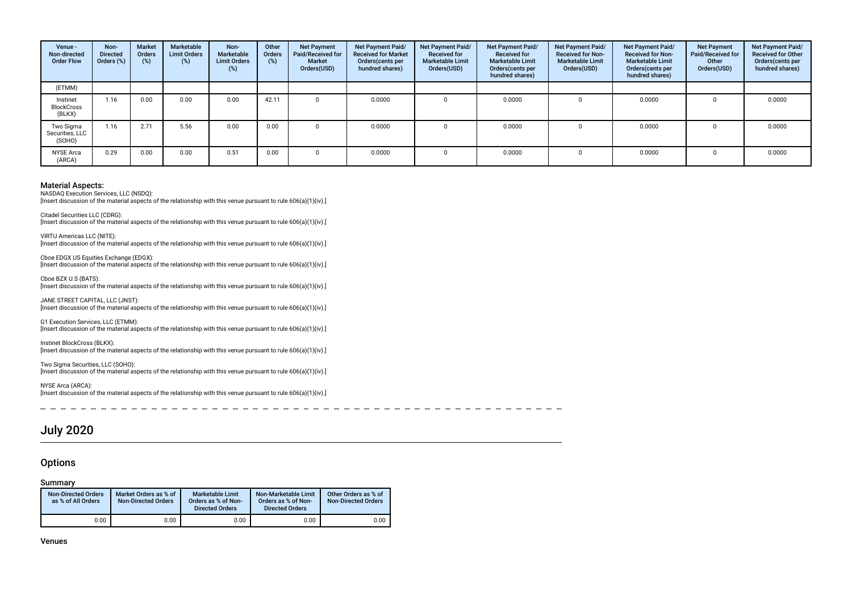| Venue -<br>Non-directed<br><b>Order Flow</b> | Non-<br><b>Directed</b><br>Orders (%) | Market<br><b>Orders</b><br>(%) | Marketable<br><b>Limit Orders</b><br>$(\%)$ | Non-<br>Marketable<br><b>Limit Orders</b><br>(%) | Other<br><b>Orders</b><br>(%) | <b>Net Payment</b><br>Paid/Received for<br><b>Market</b><br>Orders(USD) | Net Payment Paid/<br><b>Received for Market</b><br>Orders (cents per<br>hundred shares) | Net Payment Paid/<br><b>Received for</b><br><b>Marketable Limit</b><br>Orders(USD) | <b>Net Payment Paid/</b><br><b>Received for</b><br><b>Marketable Limit</b><br>Orders(cents per<br>hundred shares) | Net Payment Paid/<br><b>Received for Non-</b><br><b>Marketable Limit</b><br>Orders(USD) | Net Payment Paid/<br><b>Received for Non-</b><br><b>Marketable Limit</b><br>Orders(cents per<br>hundred shares) | <b>Net Payment</b><br>Paid/Received for<br>Other<br>Orders(USD) | Net Payment Paid/<br><b>Received for Other</b><br>Orders(cents per<br>hundred shares) |
|----------------------------------------------|---------------------------------------|--------------------------------|---------------------------------------------|--------------------------------------------------|-------------------------------|-------------------------------------------------------------------------|-----------------------------------------------------------------------------------------|------------------------------------------------------------------------------------|-------------------------------------------------------------------------------------------------------------------|-----------------------------------------------------------------------------------------|-----------------------------------------------------------------------------------------------------------------|-----------------------------------------------------------------|---------------------------------------------------------------------------------------|
| (ETMM)                                       |                                       |                                |                                             |                                                  |                               |                                                                         |                                                                                         |                                                                                    |                                                                                                                   |                                                                                         |                                                                                                                 |                                                                 |                                                                                       |
| Instinet<br><b>BlockCross</b><br>(BLKX)      | 1.16                                  | 0.00                           | 0.00                                        | 0.00                                             | 42.11                         |                                                                         | 0.0000                                                                                  | <sup>n</sup>                                                                       | 0.0000                                                                                                            |                                                                                         | 0.0000                                                                                                          |                                                                 | 0.0000                                                                                |
| Two Sigma<br>Securities, LLC<br>(SOHO)       | 1.16                                  | 2.71                           | 5.56                                        | 0.00                                             | 0.00                          |                                                                         | 0.0000                                                                                  |                                                                                    | 0.0000                                                                                                            |                                                                                         | 0.0000                                                                                                          |                                                                 | 0.0000                                                                                |
| <b>NYSE Arca</b><br>(ARCA)                   | 0.29                                  | 0.00                           | 0.00                                        | 0.51                                             | 0.00                          |                                                                         | 0.0000                                                                                  |                                                                                    | 0.0000                                                                                                            |                                                                                         | 0.0000                                                                                                          |                                                                 | 0.0000                                                                                |

NASDAQ Execution Services, LLC (NSDQ): [Insert discussion of the material aspects of the relationship with this venue pursuant to rule 606(a)(1)(iv).]

Citadel Securities LLC (CDRG):

[Insert discussion of the material aspects of the relationship with this venue pursuant to rule 606(a)(1)(iv).]

VIRTU Americas LLC (NITE): [Insert discussion of the material aspects of the relationship with this venue pursuant to rule 606(a)(1)(iv).]

Cboe EDGX US Equities Exchange (EDGX): [Insert discussion of the material aspects of the relationship with this venue pursuant to rule 606(a)(1)(iv).]

Cboe BZX U.S (BATS): [Insert discussion of the material aspects of the relationship with this venue pursuant to rule 606(a)(1)(iv).]

JANE STREET CAPITAL, LLC (JNST): [Insert discussion of the material aspects of the relationship with this venue pursuant to rule 606(a)(1)(iv).]

G1 Execution Services, LLC (ETMM): [Insert discussion of the material aspects of the relationship with this venue pursuant to rule 606(a)(1)(iv).]

Instinet BlockCross (BLKX): [Insert discussion of the material aspects of the relationship with this venue pursuant to rule 606(a)(1)(iv).]

Two Sigma Securities, LLC (SOHO): [Insert discussion of the material aspects of the relationship with this venue pursuant to rule 606(a)(1)(iv).]

NYSE Arca (ARCA): [Insert discussion of the material aspects of the relationship with this venue pursuant to rule 606(a)(1)(iv).]

------------------- $\sim$   $-$ 

# July 2020

#### **Options**

#### Summary

| <b>Non-Directed Orders</b><br>as % of All Orders | Market Orders as % of<br><b>Non-Directed Orders</b> | Marketable Limit<br>Orders as % of Non-<br><b>Directed Orders</b> | Non-Marketable Limit<br>Orders as % of Non-<br><b>Directed Orders</b> | Other Orders as % of<br><b>Non-Directed Orders</b> |
|--------------------------------------------------|-----------------------------------------------------|-------------------------------------------------------------------|-----------------------------------------------------------------------|----------------------------------------------------|
| 0.00                                             | 0.00                                                | 0.00                                                              | 0.00                                                                  | 0.00                                               |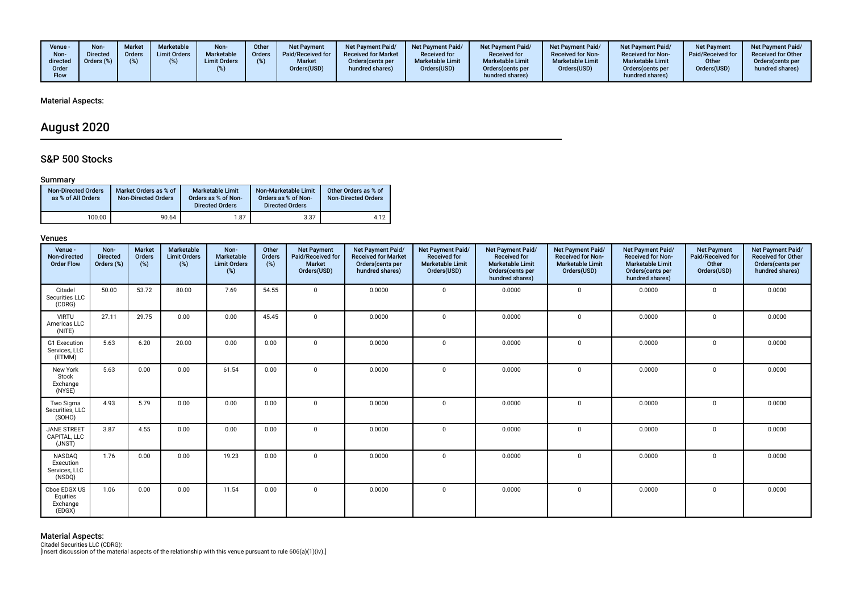| Venue -<br>Non-<br>directed<br>Order<br><b>Flow</b> | Non-<br><b>Directed</b><br>Orders (%) | Market<br>Orders | Marketable<br><b>Limit Orders</b> | Non-<br>Marketable<br><b>Limit Orders</b> | Other<br><b>Orders</b> | <b>Net Payment</b><br>Paid/Received for<br><b>Market</b><br>Orders(USD) | <b>Net Payment Paid/</b><br><b>Received for Market</b><br>Orders (cents per<br>hundred shares) | <b>Net Payment Paid/</b><br><b>Received for</b><br><b>Marketable Limit</b><br>Orders(USD) | <b>Net Payment Paid/</b><br><b>Received for</b><br><b>Marketable Limit</b><br>Orders (cents per<br>hundred shares) | Net Payment Paid/<br><b>Received for Non-</b><br><b>Marketable Limit</b><br>Orders(USD) | <b>Net Payment Paid/</b><br><b>Received for Non-</b><br><b>Marketable Limit</b><br>Orders(cents per<br>hundred shares) | <b>Net Payment</b><br>Paid/Received for<br>Other<br>Orders(USD) | <b>Net Payment Paid/</b><br><b>Received for Other</b><br>Orders(cents per<br>hundred shares) |
|-----------------------------------------------------|---------------------------------------|------------------|-----------------------------------|-------------------------------------------|------------------------|-------------------------------------------------------------------------|------------------------------------------------------------------------------------------------|-------------------------------------------------------------------------------------------|--------------------------------------------------------------------------------------------------------------------|-----------------------------------------------------------------------------------------|------------------------------------------------------------------------------------------------------------------------|-----------------------------------------------------------------|----------------------------------------------------------------------------------------------|
|-----------------------------------------------------|---------------------------------------|------------------|-----------------------------------|-------------------------------------------|------------------------|-------------------------------------------------------------------------|------------------------------------------------------------------------------------------------|-------------------------------------------------------------------------------------------|--------------------------------------------------------------------------------------------------------------------|-----------------------------------------------------------------------------------------|------------------------------------------------------------------------------------------------------------------------|-----------------------------------------------------------------|----------------------------------------------------------------------------------------------|

# August 2020

## S&P 500 Stocks

#### Summary

| <b>Non-Directed Orders</b><br>as % of All Orders | Market Orders as % of<br><b>Non-Directed Orders</b> | Marketable Limit<br>Orders as % of Non-<br><b>Directed Orders</b> | Non-Marketable Limit<br>Orders as % of Non-<br><b>Directed Orders</b> | Other Orders as % of<br><b>Non-Directed Orders</b> |
|--------------------------------------------------|-----------------------------------------------------|-------------------------------------------------------------------|-----------------------------------------------------------------------|----------------------------------------------------|
| 100.00                                           | 90.64                                               | 1.87                                                              | 3.37                                                                  | 4.12                                               |

#### Venues

| Venue -<br>Non-directed<br><b>Order Flow</b>          | Non-<br><b>Directed</b><br>Orders (%) | <b>Market</b><br>Orders<br>(%) | Marketable<br><b>Limit Orders</b><br>(%) | Non-<br>Marketable<br><b>Limit Orders</b><br>$(\%)$ | Other<br>Orders<br>(%) | <b>Net Payment</b><br>Paid/Received for<br>Market<br>Orders(USD) | Net Payment Paid/<br><b>Received for Market</b><br>Orders(cents per<br>hundred shares) | Net Payment Paid/<br><b>Received for</b><br><b>Marketable Limit</b><br>Orders(USD) | Net Payment Paid/<br><b>Received for</b><br><b>Marketable Limit</b><br>Orders(cents per<br>hundred shares) | Net Payment Paid/<br><b>Received for Non-</b><br><b>Marketable Limit</b><br>Orders(USD) | Net Payment Paid/<br><b>Received for Non-</b><br><b>Marketable Limit</b><br>Orders(cents per<br>hundred shares) | <b>Net Payment</b><br>Paid/Received for<br>Other<br>Orders(USD) | Net Payment Paid/<br><b>Received for Other</b><br>Orders(cents per<br>hundred shares) |
|-------------------------------------------------------|---------------------------------------|--------------------------------|------------------------------------------|-----------------------------------------------------|------------------------|------------------------------------------------------------------|----------------------------------------------------------------------------------------|------------------------------------------------------------------------------------|------------------------------------------------------------------------------------------------------------|-----------------------------------------------------------------------------------------|-----------------------------------------------------------------------------------------------------------------|-----------------------------------------------------------------|---------------------------------------------------------------------------------------|
| Citadel<br>Securities LLC<br>(CDRG)                   | 50.00                                 | 53.72                          | 80.00                                    | 7.69                                                | 54.55                  | $\mathbf 0$                                                      | 0.0000                                                                                 | $\Omega$                                                                           | 0.0000                                                                                                     | $\mathbf 0$                                                                             | 0.0000                                                                                                          | $\mathbf{0}$                                                    | 0.0000                                                                                |
| <b>VIRTU</b><br>Americas LLC<br>(NITE)                | 27.11                                 | 29.75                          | 0.00                                     | 0.00                                                | 45.45                  | $\Omega$                                                         | 0.0000                                                                                 | $\Omega$                                                                           | 0.0000                                                                                                     | $\mathbf 0$                                                                             | 0.0000                                                                                                          | 0                                                               | 0.0000                                                                                |
| G1 Execution<br>Services, LLC<br>(ETMM)               | 5.63                                  | 6.20                           | 20.00                                    | 0.00                                                | 0.00                   | $\Omega$                                                         | 0.0000                                                                                 | $\Omega$                                                                           | 0.0000                                                                                                     | $\Omega$                                                                                | 0.0000                                                                                                          | $\Omega$                                                        | 0.0000                                                                                |
| New York<br>Stock<br>Exchange<br>(NYSE)               | 5.63                                  | 0.00                           | 0.00                                     | 61.54                                               | 0.00                   | $\Omega$                                                         | 0.0000                                                                                 | $\Omega$                                                                           | 0.0000                                                                                                     | $\Omega$                                                                                | 0.0000                                                                                                          | $\mathbf 0$                                                     | 0.0000                                                                                |
| Two Sigma<br>Securities, LLC<br>(SOHO)                | 4.93                                  | 5.79                           | 0.00                                     | 0.00                                                | 0.00                   | $\mathbf 0$                                                      | 0.0000                                                                                 | $\Omega$                                                                           | 0.0000                                                                                                     | $\mathbf 0$                                                                             | 0.0000                                                                                                          | 0                                                               | 0.0000                                                                                |
| <b>JANE STREET</b><br>CAPITAL, LLC<br>(JNST)          | 3.87                                  | 4.55                           | 0.00                                     | 0.00                                                | 0.00                   | $\Omega$                                                         | 0.0000                                                                                 | $\Omega$                                                                           | 0.0000                                                                                                     | $\Omega$                                                                                | 0.0000                                                                                                          | $\mathbf 0$                                                     | 0.0000                                                                                |
| <b>NASDAQ</b><br>Execution<br>Services, LLC<br>(NSDQ) | 1.76                                  | 0.00                           | 0.00                                     | 19.23                                               | 0.00                   | $\Omega$                                                         | 0.0000                                                                                 | $\Omega$                                                                           | 0.0000                                                                                                     | $\Omega$                                                                                | 0.0000                                                                                                          | $\Omega$                                                        | 0.0000                                                                                |
| Cboe EDGX US<br>Equities<br>Exchange<br>(EDGX)        | 1.06                                  | 0.00                           | 0.00                                     | 11.54                                               | 0.00                   | $\mathbf 0$                                                      | 0.0000                                                                                 | $\Omega$                                                                           | 0.0000                                                                                                     | $\mathbf 0$                                                                             | 0.0000                                                                                                          | $\mathbf{0}$                                                    | 0.0000                                                                                |

**Material Aspects:**<br>Citadel Securities LLC (CDRG):<br>[Insert discussion of the material aspects of the relationship with this venue pursuant to rule 606(a)(1)(iv).]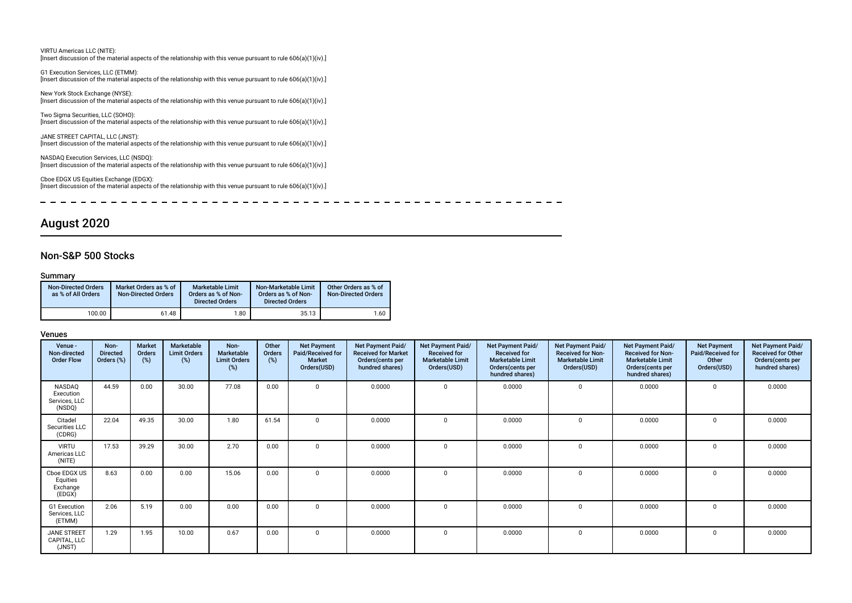| VIRTU Americas LLC (NITE):<br>[Insert discussion of the material aspects of the relationship with this venue pursuant to rule $606(a)(1)(iv)$ .]             |
|--------------------------------------------------------------------------------------------------------------------------------------------------------------|
| G1 Execution Services, LLC (ETMM):<br>[Insert discussion of the material aspects of the relationship with this venue pursuant to rule $606(a)(1)(iv)$ .]     |
| New York Stock Exchange (NYSE):<br>[Insert discussion of the material aspects of the relationship with this venue pursuant to rule $606(a)(1)(iv)$ .]        |
| Two Sigma Securities, LLC (SOHO):<br>[Insert discussion of the material aspects of the relationship with this venue pursuant to rule 606(a)(1)(iv).]         |
| JANE STREET CAPITAL, LLC (JNST):<br>[Insert discussion of the material aspects of the relationship with this venue pursuant to rule 606(a)(1)(iv).]          |
| NASDAQ Execution Services, LLC (NSDQ):<br>[Insert discussion of the material aspects of the relationship with this venue pursuant to rule $606(a)(1)(iv)$ .] |

Cboe EDGX US Equities Exchange (EDGX): [Insert discussion of the material aspects of the relationship with this venue pursuant to rule 606(a)(1)(iv).]

 $\overline{\phantom{0}}$  $\frac{1}{2} \left( \frac{1}{2} \right) \left( \frac{1}{2} \right) \left( \frac{1}{2} \right) \left( \frac{1}{2} \right) \left( \frac{1}{2} \right) \left( \frac{1}{2} \right) \left( \frac{1}{2} \right) \left( \frac{1}{2} \right) \left( \frac{1}{2} \right) \left( \frac{1}{2} \right) \left( \frac{1}{2} \right) \left( \frac{1}{2} \right) \left( \frac{1}{2} \right) \left( \frac{1}{2} \right) \left( \frac{1}{2} \right) \left( \frac{1}{2} \right) \left( \frac$  $\sim$   $-$ 

# August 2020

## Non-S&P 500 Stocks

#### Summary

| <b>Non-Directed Orders</b><br>as % of All Orders | Market Orders as % of<br><b>Non-Directed Orders</b> | <b>Marketable Limit</b><br>Orders as % of Non-<br><b>Directed Orders</b> | Non-Marketable Limit<br>Orders as % of Non-<br><b>Directed Orders</b> | Other Orders as % of<br><b>Non-Directed Orders</b> |
|--------------------------------------------------|-----------------------------------------------------|--------------------------------------------------------------------------|-----------------------------------------------------------------------|----------------------------------------------------|
| 100.00                                           | 61.48                                               | 1.80                                                                     | 35.13                                                                 | 1.60                                               |

| Venue -<br>Non-directed<br><b>Order Flow</b>   | Non-<br><b>Directed</b><br>Orders (%) | <b>Market</b><br>Orders<br>(%) | Marketable<br><b>Limit Orders</b><br>$(\%)$ | Non-<br>Marketable<br><b>Limit Orders</b><br>(%) | Other<br>Orders<br>(%) | <b>Net Payment</b><br>Paid/Received for<br><b>Market</b><br>Orders(USD) | Net Payment Paid/<br><b>Received for Market</b><br>Orders(cents per<br>hundred shares) | Net Payment Paid/<br><b>Received for</b><br><b>Marketable Limit</b><br>Orders(USD) | Net Payment Paid/<br><b>Received for</b><br><b>Marketable Limit</b><br>Orders(cents per<br>hundred shares) | <b>Net Payment Paid/</b><br><b>Received for Non-</b><br><b>Marketable Limit</b><br>Orders(USD) | <b>Net Payment Paid/</b><br><b>Received for Non-</b><br><b>Marketable Limit</b><br>Orders(cents per<br>hundred shares) | <b>Net Payment</b><br>Paid/Received for<br>Other<br>Orders(USD) | Net Payment Paid/<br><b>Received for Other</b><br>Orders(cents per<br>hundred shares) |
|------------------------------------------------|---------------------------------------|--------------------------------|---------------------------------------------|--------------------------------------------------|------------------------|-------------------------------------------------------------------------|----------------------------------------------------------------------------------------|------------------------------------------------------------------------------------|------------------------------------------------------------------------------------------------------------|------------------------------------------------------------------------------------------------|------------------------------------------------------------------------------------------------------------------------|-----------------------------------------------------------------|---------------------------------------------------------------------------------------|
| NASDAQ<br>Execution<br>Services, LLC<br>(NSDQ) | 44.59                                 | 0.00                           | 30.00                                       | 77.08                                            | 0.00                   | $\mathbf 0$                                                             | 0.0000                                                                                 | $\Omega$                                                                           | 0.0000                                                                                                     | $\mathbf{0}$                                                                                   | 0.0000                                                                                                                 | $\mathbf 0$                                                     | 0.0000                                                                                |
| Citadel<br>Securities LLC<br>(CDRG)            | 22.04                                 | 49.35                          | 30.00                                       | 1.80                                             | 61.54                  | $\Omega$                                                                | 0.0000                                                                                 | $\Omega$                                                                           | 0.0000                                                                                                     | $\Omega$                                                                                       | 0.0000                                                                                                                 | 0                                                               | 0.0000                                                                                |
| <b>VIRTU</b><br>Americas LLC<br>(NITE)         | 17.53                                 | 39.29                          | 30.00                                       | 2.70                                             | 0.00                   | $\Omega$                                                                | 0.0000                                                                                 | $\Omega$                                                                           | 0.0000                                                                                                     | $\Omega$                                                                                       | 0.0000                                                                                                                 | $\Omega$                                                        | 0.0000                                                                                |
| Cboe EDGX US<br>Equities<br>Exchange<br>(EDGX) | 8.63                                  | 0.00                           | 0.00                                        | 15.06                                            | 0.00                   | $\Omega$                                                                | 0.0000                                                                                 | $\Omega$                                                                           | 0.0000                                                                                                     | $\mathbf 0$                                                                                    | 0.0000                                                                                                                 | $\Omega$                                                        | 0.0000                                                                                |
| G1 Execution<br>Services, LLC<br>(ETMM)        | 2.06                                  | 5.19                           | 0.00                                        | 0.00                                             | 0.00                   | $\Omega$                                                                | 0.0000                                                                                 | $\Omega$                                                                           | 0.0000                                                                                                     | $\Omega$                                                                                       | 0.0000                                                                                                                 | $\Omega$                                                        | 0.0000                                                                                |
| JANE STREET<br>CAPITAL, LLC<br>(JNST)          | 1.29                                  | 1.95                           | 10.00                                       | 0.67                                             | 0.00                   | $\Omega$                                                                | 0.0000                                                                                 | $\Omega$                                                                           | 0.0000                                                                                                     | $\mathbf{0}$                                                                                   | 0.0000                                                                                                                 | 0                                                               | 0.0000                                                                                |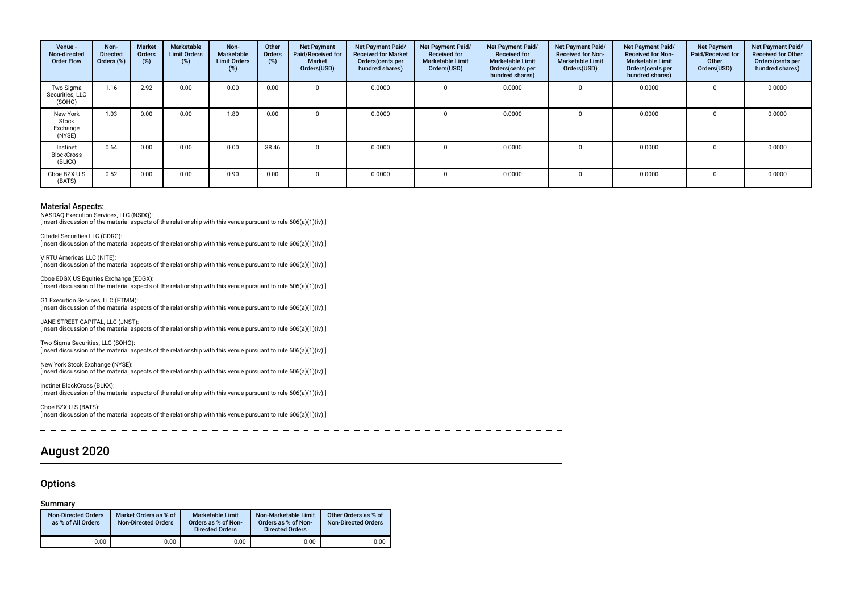| Venue -<br>Non-directed<br><b>Order Flow</b> | Non-<br><b>Directed</b><br>Orders (%) | <b>Market</b><br><b>Orders</b><br>(%) | Marketable<br><b>Limit Orders</b><br>$(\%)$ | Non-<br>Marketable<br><b>Limit Orders</b><br>(%) | Other<br>Orders<br>(%) | <b>Net Payment</b><br>Paid/Received for<br><b>Market</b><br>Orders(USD) | Net Payment Paid/<br><b>Received for Market</b><br>Orders (cents per<br>hundred shares) | Net Payment Paid/<br><b>Received for</b><br><b>Marketable Limit</b><br>Orders(USD) | Net Payment Paid/<br><b>Received for</b><br><b>Marketable Limit</b><br>Orders(cents per<br>hundred shares) | Net Payment Paid/<br><b>Received for Non-</b><br><b>Marketable Limit</b><br>Orders(USD) | <b>Net Payment Paid/</b><br><b>Received for Non-</b><br><b>Marketable Limit</b><br>Orders (cents per<br>hundred shares) | <b>Net Payment</b><br>Paid/Received for<br>Other<br>Orders(USD) | Net Payment Paid/<br><b>Received for Other</b><br>Orders(cents per<br>hundred shares) |
|----------------------------------------------|---------------------------------------|---------------------------------------|---------------------------------------------|--------------------------------------------------|------------------------|-------------------------------------------------------------------------|-----------------------------------------------------------------------------------------|------------------------------------------------------------------------------------|------------------------------------------------------------------------------------------------------------|-----------------------------------------------------------------------------------------|-------------------------------------------------------------------------------------------------------------------------|-----------------------------------------------------------------|---------------------------------------------------------------------------------------|
| Two Sigma<br>Securities, LLC<br>(SOHO)       | 1.16                                  | 2.92                                  | 0.00                                        | 0.00                                             | 0.00                   |                                                                         | 0.0000                                                                                  |                                                                                    | 0.0000                                                                                                     |                                                                                         | 0.0000                                                                                                                  |                                                                 | 0.0000                                                                                |
| New York<br>Stock<br>Exchange<br>(NYSE)      | 1.03                                  | 0.00                                  | 0.00                                        | 1.80                                             | 0.00                   |                                                                         | 0.0000                                                                                  | $\Omega$                                                                           | 0.0000                                                                                                     |                                                                                         | 0.0000                                                                                                                  |                                                                 | 0.0000                                                                                |
| Instinet<br><b>BlockCross</b><br>(BLKX)      | 0.64                                  | 0.00                                  | 0.00                                        | 0.00                                             | 38.46                  |                                                                         | 0.0000                                                                                  | $\Omega$                                                                           | 0.0000                                                                                                     |                                                                                         | 0.0000                                                                                                                  |                                                                 | 0.0000                                                                                |
| Cboe BZX U.S<br>(BATS)                       | 0.52                                  | 0.00                                  | 0.00                                        | 0.90                                             | 0.00                   |                                                                         | 0.0000                                                                                  | $\Omega$                                                                           | 0.0000                                                                                                     | $\Omega$                                                                                | 0.0000                                                                                                                  |                                                                 | 0.0000                                                                                |

NASDAQ Execution Services, LLC (NSDQ):

[Insert discussion of the material aspects of the relationship with this venue pursuant to rule 606(a)(1)(iv).]

Citadel Securities LLC (CDRG): [Insert discussion of the material aspects of the relationship with this venue pursuant to rule 606(a)(1)(iv).]

VIRTU Americas LLC (NITE): [Insert discussion of the material aspects of the relationship with this venue pursuant to rule 606(a)(1)(iv).]

Cboe EDGX US Equities Exchange (EDGX): [Insert discussion of the material aspects of the relationship with this venue pursuant to rule 606(a)(1)(iv).]

G1 Execution Services, LLC (ETMM): [Insert discussion of the material aspects of the relationship with this venue pursuant to rule 606(a)(1)(iv).]

JANE STREET CAPITAL, LLC (JNST): [Insert discussion of the material aspects of the relationship with this venue pursuant to rule 606(a)(1)(iv).]

Two Sigma Securities, LLC (SOHO): [Insert discussion of the material aspects of the relationship with this venue pursuant to rule 606(a)(1)(iv).]

New York Stock Exchange (NYSE): [Insert discussion of the material aspects of the relationship with this venue pursuant to rule 606(a)(1)(iv).]

Instinet BlockCross (BLKX): [Insert discussion of the material aspects of the relationship with this venue pursuant to rule 606(a)(1)(iv).]

Cboe BZX U.S (BATS): [Insert discussion of the material aspects of the relationship with this venue pursuant to rule 606(a)(1)(iv).]

 $\overline{a}$ 

# August 2020

#### **Options**

#### Summary

| <b>Non-Directed Orders</b><br>as % of All Orders | Market Orders as % of<br><b>Non-Directed Orders</b> | Marketable Limit<br>Orders as % of Non-<br><b>Directed Orders</b> | Non-Marketable Limit<br>Orders as % of Non-<br><b>Directed Orders</b> | Other Orders as % of<br><b>Non-Directed Orders</b> |
|--------------------------------------------------|-----------------------------------------------------|-------------------------------------------------------------------|-----------------------------------------------------------------------|----------------------------------------------------|
| 0.00                                             | 0.00                                                | 0.00                                                              | 0.00                                                                  | 0.00                                               |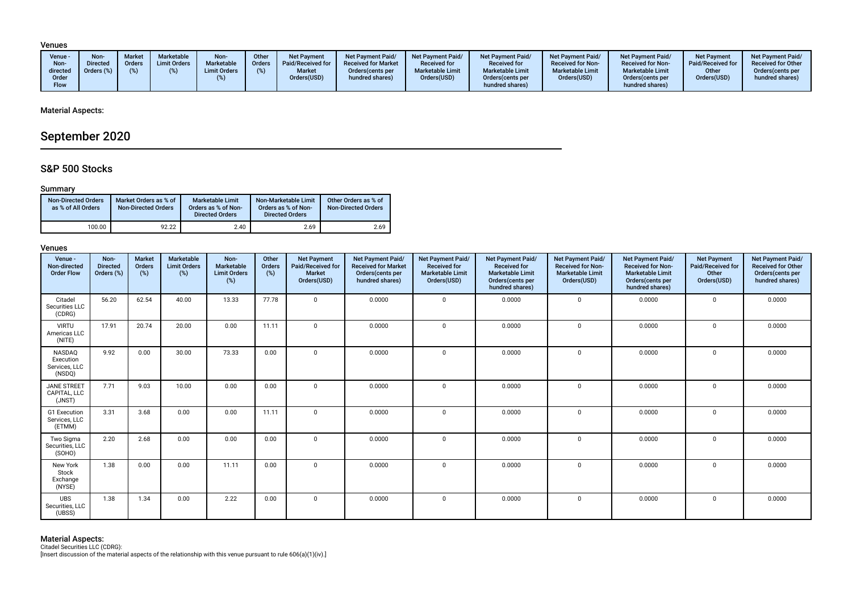#### Venues

|  | Venue -<br>Non-<br>directed<br>Order<br><b>Flow</b> | Non-<br><b>Directed</b><br>Orders (%) | <b>Market</b><br>Orders | Marketable<br><b>Limit Orders</b> | Non-<br>Marketable<br><b>Limit Orders</b> | Other<br><b>Orders</b><br>(% ) | <b>Net Payment</b><br><b>Paid/Received for</b><br><b>Market</b><br>Orders(USD) | <b>Net Payment Paid/</b><br><b>Received for Market</b><br>Orders (cents per<br>hundred shares) | Net Payment Paid/<br><b>Received for</b><br><b>Marketable Limit</b><br>Orders(USD) | <b>Net Payment Paid/</b><br><b>Received for</b><br><b>Marketable Limit</b><br>Orders (cents per<br>hundred shares) | <b>Net Payment Paid/</b><br><b>Received for Non-</b><br><b>Marketable Limit</b><br>Orders(USD) | <b>Net Payment Paid/</b><br><b>Received for Non-</b><br><b>Marketable Limit</b><br>Orders(cents per<br>hundred shares) | <b>Net Payment</b><br>Paid/Received for<br>Other<br>Orders(USD) | <b>Net Payment Paid/</b><br><b>Received for Other</b><br>Orders(cents per<br>hundred shares) |
|--|-----------------------------------------------------|---------------------------------------|-------------------------|-----------------------------------|-------------------------------------------|--------------------------------|--------------------------------------------------------------------------------|------------------------------------------------------------------------------------------------|------------------------------------------------------------------------------------|--------------------------------------------------------------------------------------------------------------------|------------------------------------------------------------------------------------------------|------------------------------------------------------------------------------------------------------------------------|-----------------------------------------------------------------|----------------------------------------------------------------------------------------------|
|--|-----------------------------------------------------|---------------------------------------|-------------------------|-----------------------------------|-------------------------------------------|--------------------------------|--------------------------------------------------------------------------------|------------------------------------------------------------------------------------------------|------------------------------------------------------------------------------------|--------------------------------------------------------------------------------------------------------------------|------------------------------------------------------------------------------------------------|------------------------------------------------------------------------------------------------------------------------|-----------------------------------------------------------------|----------------------------------------------------------------------------------------------|

#### Material Aspects:

# September 2020

### S&P 500 Stocks

#### Summary

| <b>Non-Directed Orders</b><br>as % of All Orders | Market Orders as % of<br><b>Non-Directed Orders</b> | Marketable Limit<br>Orders as % of Non-<br><b>Directed Orders</b> | Non-Marketable Limit<br>Orders as % of Non-<br><b>Directed Orders</b> | Other Orders as % of<br><b>Non-Directed Orders</b> |
|--------------------------------------------------|-----------------------------------------------------|-------------------------------------------------------------------|-----------------------------------------------------------------------|----------------------------------------------------|
| 100.00                                           | 92.22                                               | 2.40                                                              | 2.69                                                                  | 2.69                                               |

#### Venues

| Venue -<br>Non-directed<br><b>Order Flow</b>   | Non-<br><b>Directed</b><br>Orders (%) | <b>Market</b><br>Orders<br>(%) | <b>Marketable</b><br><b>Limit Orders</b><br>(%) | Non-<br>Marketable<br><b>Limit Orders</b><br>$(\%)$ | Other<br>Orders<br>(%) | <b>Net Payment</b><br>Paid/Received for<br><b>Market</b><br>Orders(USD) | Net Payment Paid/<br><b>Received for Market</b><br>Orders(cents per<br>hundred shares) | Net Payment Paid/<br><b>Received for</b><br><b>Marketable Limit</b><br>Orders(USD) | Net Payment Paid/<br><b>Received for</b><br><b>Marketable Limit</b><br>Orders(cents per<br>hundred shares) | Net Payment Paid/<br>Received for Non-<br><b>Marketable Limit</b><br>Orders(USD) | Net Payment Paid/<br><b>Received for Non-</b><br><b>Marketable Limit</b><br>Orders(cents per<br>hundred shares) | <b>Net Payment</b><br>Paid/Received for<br>Other<br>Orders(USD) | Net Payment Paid/<br><b>Received for Other</b><br>Orders(cents per<br>hundred shares) |
|------------------------------------------------|---------------------------------------|--------------------------------|-------------------------------------------------|-----------------------------------------------------|------------------------|-------------------------------------------------------------------------|----------------------------------------------------------------------------------------|------------------------------------------------------------------------------------|------------------------------------------------------------------------------------------------------------|----------------------------------------------------------------------------------|-----------------------------------------------------------------------------------------------------------------|-----------------------------------------------------------------|---------------------------------------------------------------------------------------|
| Citadel<br>Securities LLC<br>(CDRG)            | 56.20                                 | 62.54                          | 40.00                                           | 13.33                                               | 77.78                  | $\mathbf 0$                                                             | 0.0000                                                                                 | $\Omega$                                                                           | 0.0000                                                                                                     | $\Omega$                                                                         | 0.0000                                                                                                          | $\Omega$                                                        | 0.0000                                                                                |
| <b>VIRTU</b><br>Americas LLC<br>(NITE)         | 17.91                                 | 20.74                          | 20.00                                           | 0.00                                                | 11.11                  | $\mathbf 0$                                                             | 0.0000                                                                                 | $\Omega$                                                                           | 0.0000                                                                                                     | $\mathbf 0$                                                                      | 0.0000                                                                                                          | $\Omega$                                                        | 0.0000                                                                                |
| NASDAQ<br>Execution<br>Services, LLC<br>(NSDQ) | 9.92                                  | 0.00                           | 30.00                                           | 73.33                                               | 0.00                   | $\mathbf 0$                                                             | 0.0000                                                                                 | $^{\circ}$                                                                         | 0.0000                                                                                                     | $\mathbf 0$                                                                      | 0.0000                                                                                                          | $\mathbf{0}$                                                    | 0.0000                                                                                |
| <b>JANE STREET</b><br>CAPITAL, LLC<br>(JNST)   | 7.71                                  | 9.03                           | 10.00                                           | 0.00                                                | 0.00                   | $\mathbf{0}$                                                            | 0.0000                                                                                 | $\mathbf 0$                                                                        | 0.0000                                                                                                     | $\mathbf 0$                                                                      | 0.0000                                                                                                          | $\mathbf 0$                                                     | 0.0000                                                                                |
| G1 Execution<br>Services, LLC<br>(ETMM)        | 3.31                                  | 3.68                           | 0.00                                            | 0.00                                                | 11.11                  | $\mathbf{0}$                                                            | 0.0000                                                                                 | $\Omega$                                                                           | 0.0000                                                                                                     | $\mathbf 0$                                                                      | 0.0000                                                                                                          | $\mathbf 0$                                                     | 0.0000                                                                                |
| Two Sigma<br>Securities, LLC<br>(SOHO)         | 2.20                                  | 2.68                           | 0.00                                            | 0.00                                                | 0.00                   | $\mathbf{0}$                                                            | 0.0000                                                                                 | $\Omega$                                                                           | 0.0000                                                                                                     | $\Omega$                                                                         | 0.0000                                                                                                          | $\Omega$                                                        | 0.0000                                                                                |
| New York<br>Stock<br>Exchange<br>(NYSE)        | 1.38                                  | 0.00                           | 0.00                                            | 11.11                                               | 0.00                   | $\mathbf 0$                                                             | 0.0000                                                                                 | $\Omega$                                                                           | 0.0000                                                                                                     | $\mathbf 0$                                                                      | 0.0000                                                                                                          | 0                                                               | 0.0000                                                                                |
| <b>UBS</b><br>Securities, LLC<br>(UBSS)        | 1.38                                  | 1.34                           | 0.00                                            | 2.22                                                | 0.00                   | $\mathbf{0}$                                                            | 0.0000                                                                                 | $\Omega$                                                                           | 0.0000                                                                                                     | $\Omega$                                                                         | 0.0000                                                                                                          | $\mathbf 0$                                                     | 0.0000                                                                                |

**Material Aspects:**<br>Citadel Securities LLC (CDRG):<br>[Insert discussion of the material aspects of the relationship with this venue pursuant to rule 606(a)(1)(iv).]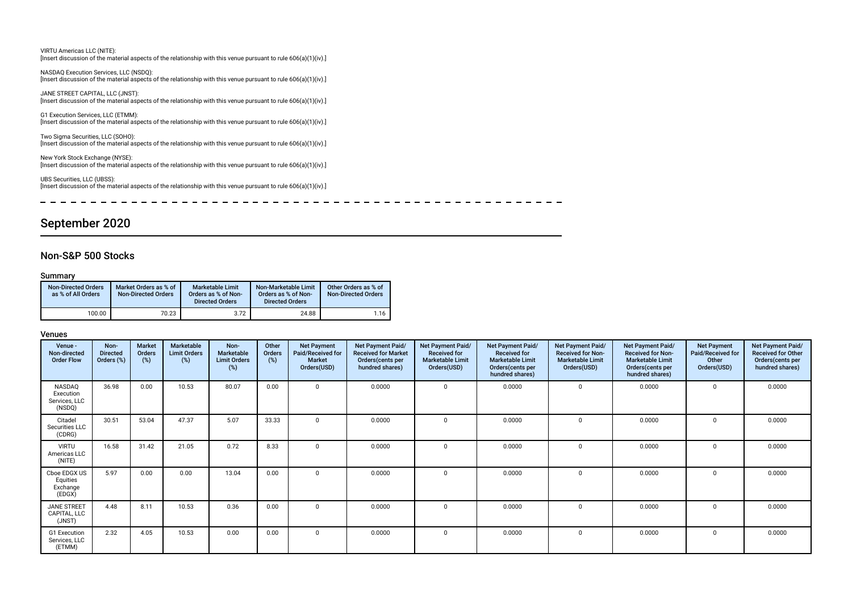| VIRTU Americas LLC (NITE):<br>[Insert discussion of the material aspects of the relationship with this venue pursuant to rule $606(a)(1)(iv)$ .]             |
|--------------------------------------------------------------------------------------------------------------------------------------------------------------|
| NASDAQ Execution Services, LLC (NSDQ):<br>[Insert discussion of the material aspects of the relationship with this venue pursuant to rule $606(a)(1)(iv)$ .] |
| JANE STREET CAPITAL, LLC (JNST):<br>[Insert discussion of the material aspects of the relationship with this venue pursuant to rule $606(a)(1)(iv)$ .]       |
| G1 Execution Services, LLC (ETMM):<br>[Insert discussion of the material aspects of the relationship with this venue pursuant to rule $606(a)(1)(iv)$ .]     |
| Two Sigma Securities, LLC (SOHO):<br>[Insert discussion of the material aspects of the relationship with this venue pursuant to rule $606(a)(1)(iv)$ .]      |
| New York Stock Exchange (NYSE):<br>[Insert discussion of the material aspects of the relationship with this venue pursuant to rule $606(a)(1)(iv)$ .]        |
| UBS Securities, LLC (UBSS):<br>[Insert discussion of the material aspects of the relationship with this venue pursuant to rule $606(a)(1)(iv)$ .]            |

# September 2020

# Non-S&P 500 Stocks

#### Summary

| <b>Non-Directed Orders</b><br>as % of All Orders | Market Orders as % of<br><b>Non-Directed Orders</b> | <b>Marketable Limit</b><br>Orders as % of Non-<br><b>Directed Orders</b> | Non-Marketable Limit<br>Orders as % of Non-<br><b>Directed Orders</b> | Other Orders as % of<br><b>Non-Directed Orders</b> |
|--------------------------------------------------|-----------------------------------------------------|--------------------------------------------------------------------------|-----------------------------------------------------------------------|----------------------------------------------------|
| 100.00                                           | 70.23                                               | 3.72                                                                     | 24.88                                                                 | 1.16                                               |

| Venue -<br>Non-directed<br><b>Order Flow</b>   | Non-<br><b>Directed</b><br>Orders (%) | <b>Market</b><br>Orders<br>(%) | Marketable<br><b>Limit Orders</b><br>$(\%)$ | Non-<br>Marketable<br><b>Limit Orders</b><br>(%) | Other<br>Orders<br>(%) | <b>Net Payment</b><br>Paid/Received for<br><b>Market</b><br>Orders(USD) | Net Payment Paid/<br><b>Received for Market</b><br>Orders(cents per<br>hundred shares) | Net Payment Paid/<br><b>Received for</b><br><b>Marketable Limit</b><br>Orders(USD) | Net Payment Paid/<br><b>Received for</b><br><b>Marketable Limit</b><br>Orders(cents per<br>hundred shares) | Net Payment Paid/<br><b>Received for Non-</b><br><b>Marketable Limit</b><br>Orders(USD) | <b>Net Payment Paid/</b><br><b>Received for Non-</b><br><b>Marketable Limit</b><br>Orders(cents per<br>hundred shares) | <b>Net Payment</b><br>Paid/Received for<br>Other<br>Orders(USD) | Net Payment Paid/<br><b>Received for Other</b><br>Orders(cents per<br>hundred shares) |
|------------------------------------------------|---------------------------------------|--------------------------------|---------------------------------------------|--------------------------------------------------|------------------------|-------------------------------------------------------------------------|----------------------------------------------------------------------------------------|------------------------------------------------------------------------------------|------------------------------------------------------------------------------------------------------------|-----------------------------------------------------------------------------------------|------------------------------------------------------------------------------------------------------------------------|-----------------------------------------------------------------|---------------------------------------------------------------------------------------|
| NASDAQ<br>Execution<br>Services, LLC<br>(NSDQ) | 36.98                                 | 0.00                           | 10.53                                       | 80.07                                            | 0.00                   | $\mathbf 0$                                                             | 0.0000                                                                                 | $\Omega$                                                                           | 0.0000                                                                                                     | $\Omega$                                                                                | 0.0000                                                                                                                 | $\Omega$                                                        | 0.0000                                                                                |
| Citadel<br>Securities LLC<br>(CDRG)            | 30.51                                 | 53.04                          | 47.37                                       | 5.07                                             | 33.33                  | $\Omega$                                                                | 0.0000                                                                                 | $\Omega$                                                                           | 0.0000                                                                                                     | $\Omega$                                                                                | 0.0000                                                                                                                 | 0                                                               | 0.0000                                                                                |
| <b>VIRTU</b><br>Americas LLC<br>(NITE)         | 16.58                                 | 31.42                          | 21.05                                       | 0.72                                             | 8.33                   | $\Omega$                                                                | 0.0000                                                                                 | $\Omega$                                                                           | 0.0000                                                                                                     | $\Omega$                                                                                | 0.0000                                                                                                                 | $\Omega$                                                        | 0.0000                                                                                |
| Cboe EDGX US<br>Equities<br>Exchange<br>(EDGX) | 5.97                                  | 0.00                           | 0.00                                        | 13.04                                            | 0.00                   | $\Omega$                                                                | 0.0000                                                                                 | $\Omega$                                                                           | 0.0000                                                                                                     | $\Omega$                                                                                | 0.0000                                                                                                                 | $\Omega$                                                        | 0.0000                                                                                |
| <b>JANE STREET</b><br>CAPITAL, LLC<br>(JNST)   | 4.48                                  | 8.11                           | 10.53                                       | 0.36                                             | 0.00                   | $\Omega$                                                                | 0.0000                                                                                 | $\Omega$                                                                           | 0.0000                                                                                                     | $\Omega$                                                                                | 0.0000                                                                                                                 | $\Omega$                                                        | 0.0000                                                                                |
| G1 Execution<br>Services, LLC<br>(ETMM)        | 2.32                                  | 4.05                           | 10.53                                       | 0.00                                             | 0.00                   | $^{\circ}$                                                              | 0.0000                                                                                 | $\Omega$                                                                           | 0.0000                                                                                                     | $\mathbf 0$                                                                             | 0.0000                                                                                                                 | $\mathbf 0$                                                     | 0.0000                                                                                |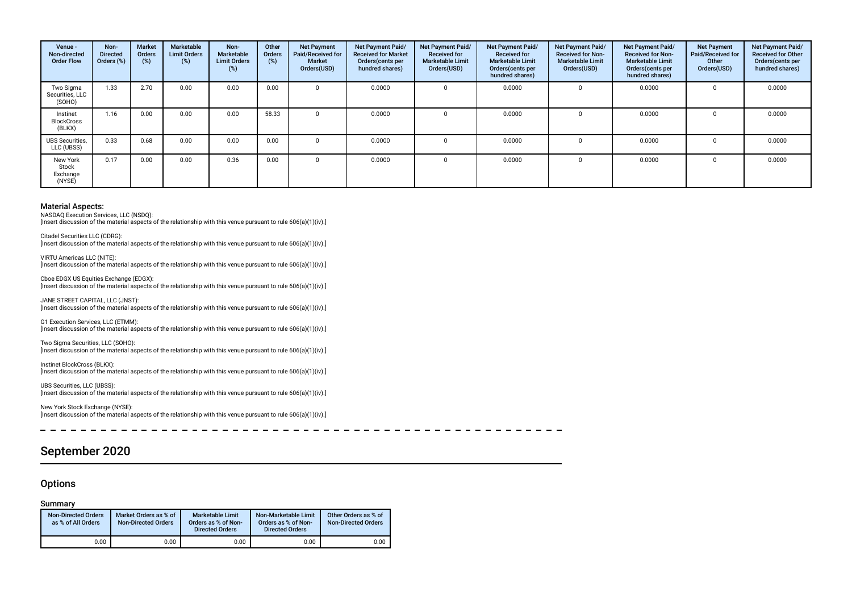| Venue -<br>Non-directed<br><b>Order Flow</b> | Non-<br><b>Directed</b><br>Orders (%) | <b>Market</b><br><b>Orders</b><br>(%) | Marketable<br><b>Limit Orders</b><br>$(\%)$ | Non-<br>Marketable<br><b>Limit Orders</b><br>(%) | Other<br>Orders<br>(%) | <b>Net Payment</b><br>Paid/Received for<br><b>Market</b><br>Orders(USD) | Net Payment Paid/<br><b>Received for Market</b><br>Orders (cents per<br>hundred shares) | Net Payment Paid/<br><b>Received for</b><br><b>Marketable Limit</b><br>Orders(USD) | <b>Net Payment Paid/</b><br><b>Received for</b><br><b>Marketable Limit</b><br>Orders (cents per<br>hundred shares) | <b>Net Payment Paid/</b><br><b>Received for Non-</b><br><b>Marketable Limit</b><br>Orders(USD) | <b>Net Payment Paid/</b><br><b>Received for Non-</b><br><b>Marketable Limit</b><br>Orders (cents per<br>hundred shares) | <b>Net Payment</b><br>Paid/Received for<br>Other<br>Orders(USD) | Net Payment Paid/<br><b>Received for Other</b><br>Orders(cents per<br>hundred shares) |
|----------------------------------------------|---------------------------------------|---------------------------------------|---------------------------------------------|--------------------------------------------------|------------------------|-------------------------------------------------------------------------|-----------------------------------------------------------------------------------------|------------------------------------------------------------------------------------|--------------------------------------------------------------------------------------------------------------------|------------------------------------------------------------------------------------------------|-------------------------------------------------------------------------------------------------------------------------|-----------------------------------------------------------------|---------------------------------------------------------------------------------------|
| Two Sigma<br>Securities, LLC<br>(SOHO)       | 1.33                                  | 2.70                                  | 0.00                                        | 0.00                                             | 0.00                   |                                                                         | 0.0000                                                                                  |                                                                                    | 0.0000                                                                                                             |                                                                                                | 0.0000                                                                                                                  |                                                                 | 0.0000                                                                                |
| Instinet<br><b>BlockCross</b><br>(BLKX)      | 1.16                                  | 0.00                                  | 0.00                                        | 0.00                                             | 58.33                  |                                                                         | 0.0000                                                                                  | $\Omega$                                                                           | 0.0000                                                                                                             | $\mathbf 0$                                                                                    | 0.0000                                                                                                                  |                                                                 | 0.0000                                                                                |
| <b>UBS Securities.</b><br>LLC (UBSS)         | 0.33                                  | 0.68                                  | 0.00                                        | 0.00                                             | 0.00                   |                                                                         | 0.0000                                                                                  | $\Omega$                                                                           | 0.0000                                                                                                             |                                                                                                | 0.0000                                                                                                                  |                                                                 | 0.0000                                                                                |
| New York<br>Stock<br>Exchange<br>(NYSE)      | 0.17                                  | 0.00                                  | 0.00                                        | 0.36                                             | 0.00                   |                                                                         | 0.0000                                                                                  |                                                                                    | 0.0000                                                                                                             |                                                                                                | 0.0000                                                                                                                  |                                                                 | 0.0000                                                                                |

NASDAQ Execution Services, LLC (NSDQ):

[Insert discussion of the material aspects of the relationship with this venue pursuant to rule 606(a)(1)(iv).]

Citadel Securities LLC (CDRG): [Insert discussion of the material aspects of the relationship with this venue pursuant to rule 606(a)(1)(iv).]

VIRTU Americas LLC (NITE): [Insert discussion of the material aspects of the relationship with this venue pursuant to rule 606(a)(1)(iv).]

Cboe EDGX US Equities Exchange (EDGX): [Insert discussion of the material aspects of the relationship with this venue pursuant to rule 606(a)(1)(iv).]

JANE STREET CAPITAL, LLC (JNST): [Insert discussion of the material aspects of the relationship with this venue pursuant to rule 606(a)(1)(iv).]

G1 Execution Services, LLC (ETMM): [Insert discussion of the material aspects of the relationship with this venue pursuant to rule 606(a)(1)(iv).]

Two Sigma Securities, LLC (SOHO): [Insert discussion of the material aspects of the relationship with this venue pursuant to rule 606(a)(1)(iv).]

Instinet BlockCross (BLKX): [Insert discussion of the material aspects of the relationship with this venue pursuant to rule 606(a)(1)(iv).]

UBS Securities, LLC (UBSS): [Insert discussion of the material aspects of the relationship with this venue pursuant to rule 606(a)(1)(iv).]

New York Stock Exchange (NYSE): [Insert discussion of the material aspects of the relationship with this venue pursuant to rule 606(a)(1)(iv).]

 $\overline{a}$ 

# September 2020

#### **Options**

#### Summary

| <b>Non-Directed Orders</b><br>as % of All Orders | Market Orders as % of<br><b>Non-Directed Orders</b> | Marketable Limit<br>Orders as % of Non-<br><b>Directed Orders</b> | Non-Marketable Limit<br>Orders as % of Non-<br><b>Directed Orders</b> | Other Orders as % of<br><b>Non-Directed Orders</b> |
|--------------------------------------------------|-----------------------------------------------------|-------------------------------------------------------------------|-----------------------------------------------------------------------|----------------------------------------------------|
| 0.00                                             | 0.00                                                | 0.00                                                              | 0.00                                                                  | 0.00                                               |